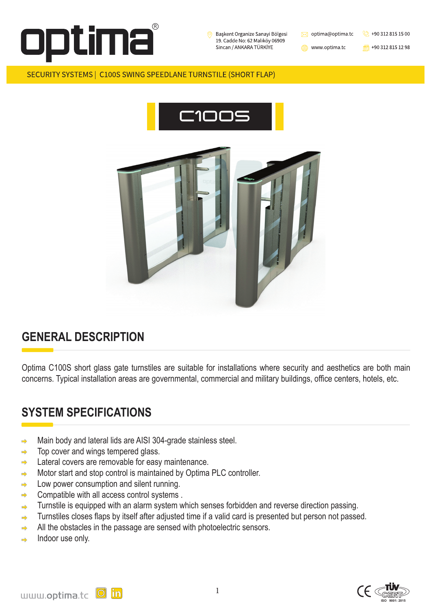

Başkent Organize Sanayi Bölgesi 19. Cadde No: 62 Malıköy 06909 Sincan / ANKARA TÜRKİYE





1

www.optima.tc

 $\frac{1}{100}$  +90 312 815 12 98

#### SECURITY SYSTEMS | C100S SWING SPEEDLANE TURNSTILE (SHORT FLAP)











### **GENERAL DESCRIPTION**

Main body and lateral lids are AISI 304-grade stainless steel.  $\Rightarrow$ 

Optima C100S short glass gate turnstiles are suitable for installations where security and aesthetics are both main concerns. Typical installation areas are governmental, commercial and military buildings, office centers, hotels, etc.

- Top cover and wings tempered glass.  $\Rightarrow$
- Lateral covers are removable for easy maintenance.  $\Rightarrow$
- Motor start and stop control is maintained by Optima PLC controller.  $\Rightarrow$
- Low power consumption and silent running.  $\Rightarrow$
- Compatible with all access control systems .  $\Rightarrow$
- Turnstile is equipped with an alarm system which senses forbidden and reverse direction passing.  $\Rightarrow$
- Turnstiles closes flaps by itself after adjusted time if a valid card is presented but person not passed.  $\Rightarrow$

# **SYSTEM SPECIFICATIONS**

- All the obstacles in the passage are sensed with photoelectric sensors.  $\Rightarrow$
- Indoor use only. $\Rightarrow$